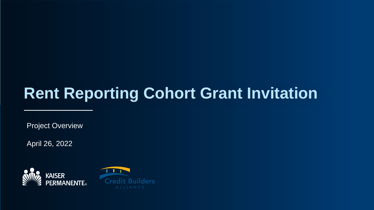# **Rent Reporting Cohort Grant Invitation**

Project Overview

April 26, 2022

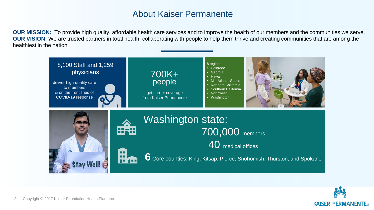# About Kaiser Permanente

**OUR MISSION:** To provide high quality, affordable health care services and to improve the health of our members and the communities we serve. **OUR VISION:** We are trusted partners in total health, collaborating with people to help them thrive and creating communities that are among the healthiest in the nation.





 $\mathcal{C}^{\text{max}}_{\text{max}}$  is a point  $\mathcal{C}^{\text{max}}_{\text{max}}$  inc. In contract  $\mathcal{C}^{\text{max}}_{\text{max}}$ Copyright © 2017 Kaiser Foundation Health Plan, Inc.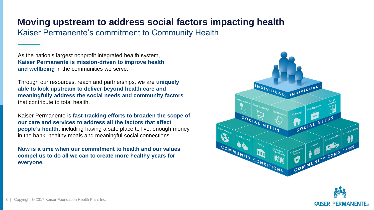# **Moving upstream to address social factors impacting health**

Kaiser Permanente's commitment to Community Health

As the nation's largest nonprofit integrated health system, **Kaiser Permanente is mission-driven to improve health and wellbeing** in the communities we serve.

Through our resources, reach and partnerships, we are **uniquely able to look upstream to deliver beyond health care and meaningfully address the social needs and community factors** that contribute to total health.

Kaiser Permanente is **fast-tracking efforts to broaden the scope of our care and services to address all the factors that affect people's health**, including having a safe place to live, enough money in the bank, healthy meals and meaningful social connections.

**Now is a time when our commitment to health and our values compel us to do all we can to create more healthy years for everyone.**



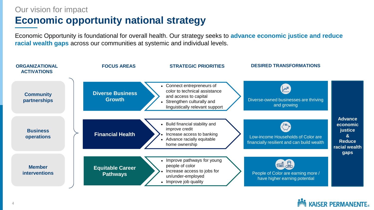# Our vision for impact

# **Economic opportunity national strategy**

Economic Opportunity is foundational for overall health. Our strategy seeks to **advance economic justice and reduce racial wealth gaps** across our communities at systemic and individual levels.

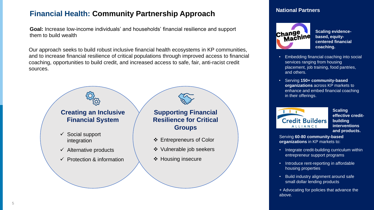# **Financial Health: Community Partnership Approach**

**Goal:** Increase low-income individuals' and households' financial resilience and support them to build wealth

Our approach seeks to build robust inclusive financial health ecosystems in KP communities, and to increase financial resilience of critical populations through improved access to financial coaching, opportunities to build credit, and increased access to safe, fair, anti-racist credit sources.



#### **National Partners**



**Scaling evidencebased, equitycentered financial coaching.**

- Embedding financial coaching into social services ranging from housing placement, job training, food pantries, and others.
- Serving **150+ community-based organizations** across KP markets to enhance and embed financial coaching in their offerings.



**Scaling effective creditbuilding interventions and products.**

Serving **60-80 community-based organizations** in KP markets to:

- Integrate credit-building curriculum within entrepreneur support programs
- Introduce rent-reporting in affordable housing properties
- Build industry alignment around safe small dollar lending products
- + Advocating for policies that advance the above.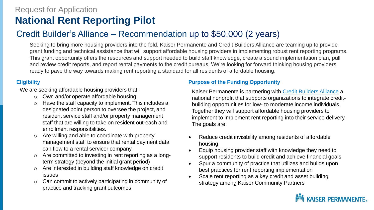# Request for Application **National Rent Reporting Pilot**

# Credit Builder's Alliance – Recommendation up to \$50,000 (2 years)

Seeking to bring more housing providers into the fold, Kaiser Permanente and Credit Builders Alliance are teaming up to provide grant funding and technical assistance that will support affordable housing providers in implementing robust rent reporting programs. This grant opportunity offers the resources and support needed to build staff knowledge, create a sound implementation plan, pull and review credit reports, and report rental payments to the credit bureaus. We're looking for forward thinking housing providers ready to pave the way towards making rent reporting a standard for all residents of affordable housing.

#### **Eligibility**

We are seeking affordable housing providers that:

- o Own and/or operate affordable housing
- Have the staff capacity to implement. This includes a designated point person to oversee the project, and resident service staff and/or property management staff that are willing to take on resident outreach and enrollment responsibilities.
- Are willing and able to coordinate with property management staff to ensure that rental payment data can flow to a rental servicer company.
- o Are committed to investing in rent reporting as a longterm strategy (beyond the initial grant period)
- o Are interested in building staff knowledge on credit issues
- o Can commit to actively participating in community of practice and tracking grant outcomes

#### **Purpose of the Funding Opportunity**

Kaiser Permanente is partnering with [Credit Builders Alliance](https://www.creditbuildersalliance.org/) a national nonprofit that supports organizations to integrate creditbuilding opportunities for low- to moderate income individuals. Together they will support affordable housing providers to implement to implement rent reporting into their service delivery. The goals are:

- Reduce credit invisibility among residents of affordable housing
- Equip housing provider staff with knowledge they need to support residents to build credit and achieve financial goals
- Spur a community of practice that utilizes and builds upon best practices for rent reporting implementation
- Scale rent reporting as a key credit and asset building strategy among Kaiser Community Partners

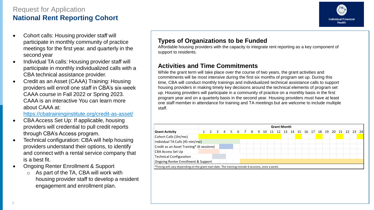# Request for Application **National Rent Reporting Cohort**



- Cohort calls: Housing provider staff will participate in monthly community of practice meetings for the first year. and quarterly in the second year
- Individual TA calls: Housing provider staff will participate in monthly individualized calls with a CBA technical assistance provider.
- Credit as an Asset (CAAA) Training: Housing providers will enroll one staff in CBA's six-week CAAA course in Fall 2022 or Spring 2023. CAAA is an interactive You can learn more about CAAA at:

<https://cbatraininginstitute.org/credit-as-asset/>

- CBA Access Set Up: If applicable, housing providers will credential to pull credit reports through CBA's Access program.
- Technical configuration: CBA will help housing providers understand their options, to identify and connect with a rental service company that is a best fit.
- Ongoing Renter Enrollment & Support
	- o As part of the TA, CBA will work with housing provider staff to develop a resident engagement and enrollment plan.

# **Types of Organizations to be Funded**

Affordable housing providers with the capacity to integrate rent reporting as a key component of support to residents.

## **Activities and Time Commitments**

While the grant term will take place over the course of two years, the grant activities and commitments will be most intensive during the first six months of program set up. During this time, CBA will conduct monthly trainings and individualized technical assistance calls to support housing providers in making timely key decisions around the technical elements of program set up. Housing providers will participate in a community of practice on a monthly basis in the first program year and on a quarterly basis in the second year. Housing providers must have at least one staff member in attendance for training and TA meetings but are welcome to include multiple staff.

| <b>Grant Activity</b>                     | <b>Grant Month</b> |                 |                |  |                 |   |  |  |  |  |  |  |  |  |                                                 |  |  |  |  |      |
|-------------------------------------------|--------------------|-----------------|----------------|--|-----------------|---|--|--|--|--|--|--|--|--|-------------------------------------------------|--|--|--|--|------|
|                                           |                    | $\vert 2 \vert$ | 3 <sup>1</sup> |  | $4 \mid 5 \mid$ | 6 |  |  |  |  |  |  |  |  | 7 8 9 10 11 12 13 14 15 16 17 18 19 20 21 22 23 |  |  |  |  | -241 |
| Cohort Calls (1hr/mo)                     |                    |                 |                |  |                 |   |  |  |  |  |  |  |  |  |                                                 |  |  |  |  |      |
| Individual TA Calls (45 min/mo)           |                    |                 |                |  |                 |   |  |  |  |  |  |  |  |  |                                                 |  |  |  |  |      |
| Credit as an Asset Training* (6 sessions) |                    |                 |                |  |                 |   |  |  |  |  |  |  |  |  |                                                 |  |  |  |  |      |
| CBA Access Set Up                         |                    |                 |                |  |                 |   |  |  |  |  |  |  |  |  |                                                 |  |  |  |  |      |
| <b>Technical Configuration</b>            |                    |                 |                |  |                 |   |  |  |  |  |  |  |  |  |                                                 |  |  |  |  |      |
| Ongoing Renter Enrollment & Support       |                    |                 |                |  |                 |   |  |  |  |  |  |  |  |  |                                                 |  |  |  |  |      |